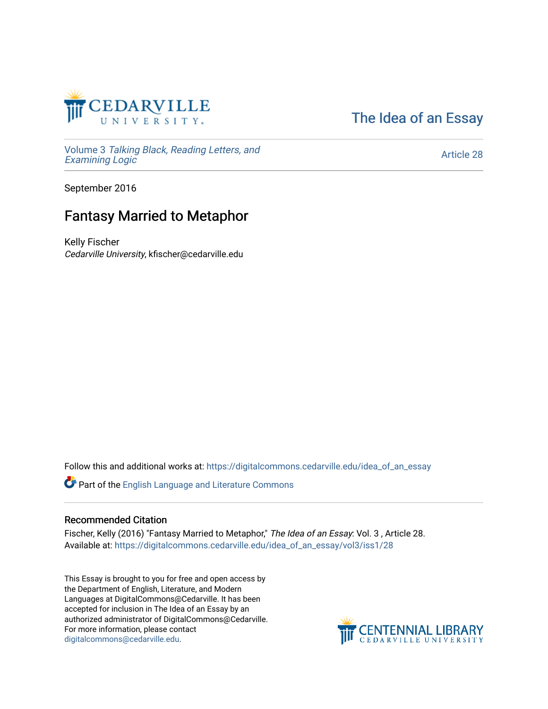

[The Idea of an Essay](https://digitalcommons.cedarville.edu/idea_of_an_essay) 

Volume 3 [Talking Black, Reading Letters, and](https://digitalcommons.cedarville.edu/idea_of_an_essay/vol3) [Examining Logic](https://digitalcommons.cedarville.edu/idea_of_an_essay/vol3)

[Article 28](https://digitalcommons.cedarville.edu/idea_of_an_essay/vol3/iss1/28) 

September 2016

## Fantasy Married to Metaphor

Kelly Fischer Cedarville University, kfischer@cedarville.edu

Follow this and additional works at: [https://digitalcommons.cedarville.edu/idea\\_of\\_an\\_essay](https://digitalcommons.cedarville.edu/idea_of_an_essay?utm_source=digitalcommons.cedarville.edu%2Fidea_of_an_essay%2Fvol3%2Fiss1%2F28&utm_medium=PDF&utm_campaign=PDFCoverPages) 

Part of the [English Language and Literature Commons](http://network.bepress.com/hgg/discipline/455?utm_source=digitalcommons.cedarville.edu%2Fidea_of_an_essay%2Fvol3%2Fiss1%2F28&utm_medium=PDF&utm_campaign=PDFCoverPages)

#### Recommended Citation

Fischer, Kelly (2016) "Fantasy Married to Metaphor," The Idea of an Essay: Vol. 3, Article 28. Available at: [https://digitalcommons.cedarville.edu/idea\\_of\\_an\\_essay/vol3/iss1/28](https://digitalcommons.cedarville.edu/idea_of_an_essay/vol3/iss1/28?utm_source=digitalcommons.cedarville.edu%2Fidea_of_an_essay%2Fvol3%2Fiss1%2F28&utm_medium=PDF&utm_campaign=PDFCoverPages) 

This Essay is brought to you for free and open access by the Department of English, Literature, and Modern Languages at DigitalCommons@Cedarville. It has been accepted for inclusion in The Idea of an Essay by an authorized administrator of DigitalCommons@Cedarville. For more information, please contact [digitalcommons@cedarville.edu](mailto:digitalcommons@cedarville.edu).

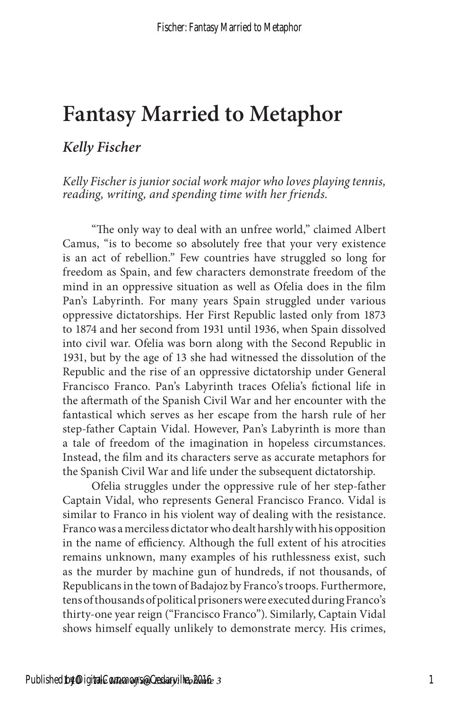# **Fantasy Married to Metaphor**

#### *Kelly Fischer*

*Kelly Fischer is junior social work major who loves playing tennis, reading, writing, and spending time with her friends.*

"The only way to deal with an unfree world," claimed Albert Camus, "is to become so absolutely free that your very existence is an act of rebellion." Few countries have struggled so long for freedom as Spain, and few characters demonstrate freedom of the mind in an oppressive situation as well as Ofelia does in the film Pan's Labyrinth. For many years Spain struggled under various oppressive dictatorships. Her First Republic lasted only from 1873 to 1874 and her second from 1931 until 1936, when Spain dissolved into civil war. Ofelia was born along with the Second Republic in 1931, but by the age of 13 she had witnessed the dissolution of the Republic and the rise of an oppressive dictatorship under General Francisco Franco. Pan's Labyrinth traces Ofelia's fictional life in the aftermath of the Spanish Civil War and her encounter with the fantastical which serves as her escape from the harsh rule of her step-father Captain Vidal. However, Pan's Labyrinth is more than a tale of freedom of the imagination in hopeless circumstances. Instead, the film and its characters serve as accurate metaphors for the Spanish Civil War and life under the subsequent dictatorship.

Ofelia struggles under the oppressive rule of her step-father Captain Vidal, who represents General Francisco Franco. Vidal is similar to Franco in his violent way of dealing with the resistance. Franco was a merciless dictator who dealt harshly with his opposition in the name of efficiency. Although the full extent of his atrocities remains unknown, many examples of his ruthlessness exist, such as the murder by machine gun of hundreds, if not thousands, of Republicans in the town of Badajoz by Franco's troops. Furthermore, tens of thousands of political prisoners were executed during Franco's thirty-one year reign ("Francisco Franco"). Similarly, Captain Vidal shows himself equally unlikely to demonstrate mercy. His crimes,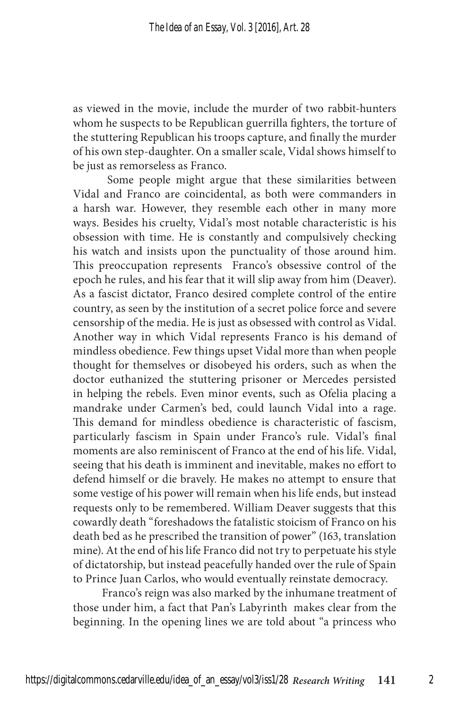as viewed in the movie, include the murder of two rabbit-hunters whom he suspects to be Republican guerrilla fighters, the torture of the stuttering Republican his troops capture, and finally the murder of his own step-daughter. On a smaller scale, Vidal shows himself to be just as remorseless as Franco.

 Some people might argue that these similarities between Vidal and Franco are coincidental, as both were commanders in a harsh war. However, they resemble each other in many more ways. Besides his cruelty, Vidal's most notable characteristic is his obsession with time. He is constantly and compulsively checking his watch and insists upon the punctuality of those around him. This preoccupation represents Franco's obsessive control of the epoch he rules, and his fear that it will slip away from him (Deaver). As a fascist dictator, Franco desired complete control of the entire country, as seen by the institution of a secret police force and severe censorship of the media. He is just as obsessed with control as Vidal. Another way in which Vidal represents Franco is his demand of mindless obedience. Few things upset Vidal more than when people thought for themselves or disobeyed his orders, such as when the doctor euthanized the stuttering prisoner or Mercedes persisted in helping the rebels. Even minor events, such as Ofelia placing a mandrake under Carmen's bed, could launch Vidal into a rage. This demand for mindless obedience is characteristic of fascism, particularly fascism in Spain under Franco's rule. Vidal's final moments are also reminiscent of Franco at the end of his life. Vidal, seeing that his death is imminent and inevitable, makes no effort to defend himself or die bravely. He makes no attempt to ensure that some vestige of his power will remain when his life ends, but instead requests only to be remembered. William Deaver suggests that this cowardly death "foreshadows the fatalistic stoicism of Franco on his death bed as he prescribed the transition of power" (163, translation mine). At the end of his life Franco did not try to perpetuate his style of dictatorship, but instead peacefully handed over the rule of Spain to Prince Juan Carlos, who would eventually reinstate democracy.

Franco's reign was also marked by the inhumane treatment of those under him, a fact that Pan's Labyrinth makes clear from the beginning. In the opening lines we are told about "a princess who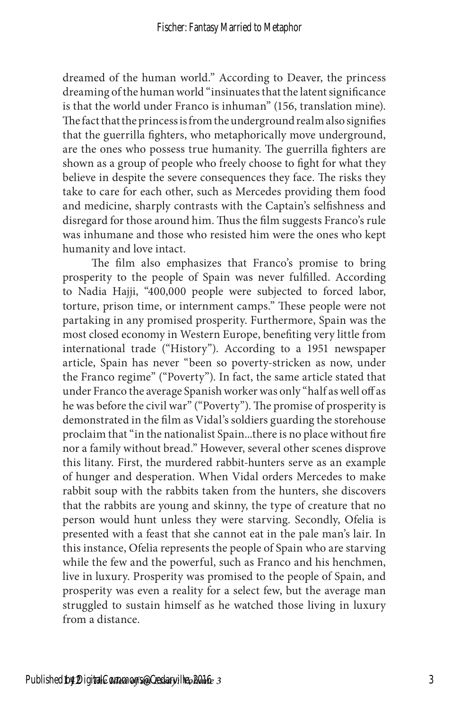dreamed of the human world." According to Deaver, the princess dreaming of the human world "insinuates that the latent significance is that the world under Franco is inhuman" (156, translation mine). The fact that the princess is from the underground realm also signifies that the guerrilla fighters, who metaphorically move underground, are the ones who possess true humanity. The guerrilla fighters are shown as a group of people who freely choose to fight for what they believe in despite the severe consequences they face. The risks they take to care for each other, such as Mercedes providing them food and medicine, sharply contrasts with the Captain's selfishness and disregard for those around him. Thus the film suggests Franco's rule was inhumane and those who resisted him were the ones who kept humanity and love intact.

The film also emphasizes that Franco's promise to bring prosperity to the people of Spain was never fulfilled. According to Nadia Hajji, "400,000 people were subjected to forced labor, torture, prison time, or internment camps." These people were not partaking in any promised prosperity. Furthermore, Spain was the most closed economy in Western Europe, benefiting very little from international trade ("History"). According to a 1951 newspaper article, Spain has never "been so poverty-stricken as now, under the Franco regime" ("Poverty"). In fact, the same article stated that under Franco the average Spanish worker was only "half as well off as he was before the civil war" ("Poverty"). The promise of prosperity is demonstrated in the film as Vidal's soldiers guarding the storehouse proclaim that "in the nationalist Spain...there is no place without fire nor a family without bread." However, several other scenes disprove this litany. First, the murdered rabbit-hunters serve as an example of hunger and desperation. When Vidal orders Mercedes to make rabbit soup with the rabbits taken from the hunters, she discovers that the rabbits are young and skinny, the type of creature that no person would hunt unless they were starving. Secondly, Ofelia is presented with a feast that she cannot eat in the pale man's lair. In this instance, Ofelia represents the people of Spain who are starving while the few and the powerful, such as Franco and his henchmen, live in luxury. Prosperity was promised to the people of Spain, and prosperity was even a reality for a select few, but the average man struggled to sustain himself as he watched those living in luxury from a distance.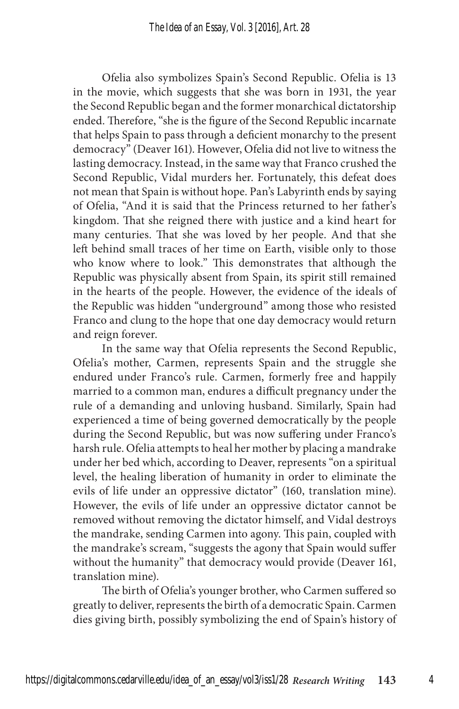Ofelia also symbolizes Spain's Second Republic. Ofelia is 13 in the movie, which suggests that she was born in 1931, the year the Second Republic began and the former monarchical dictatorship ended. Therefore, "she is the figure of the Second Republic incarnate that helps Spain to pass through a deficient monarchy to the present democracy" (Deaver 161). However, Ofelia did not live to witness the lasting democracy. Instead, in the same way that Franco crushed the Second Republic, Vidal murders her. Fortunately, this defeat does not mean that Spain is without hope. Pan's Labyrinth ends by saying of Ofelia, "And it is said that the Princess returned to her father's kingdom. That she reigned there with justice and a kind heart for many centuries. That she was loved by her people. And that she left behind small traces of her time on Earth, visible only to those who know where to look." This demonstrates that although the Republic was physically absent from Spain, its spirit still remained in the hearts of the people. However, the evidence of the ideals of the Republic was hidden "underground" among those who resisted Franco and clung to the hope that one day democracy would return and reign forever.

In the same way that Ofelia represents the Second Republic, Ofelia's mother, Carmen, represents Spain and the struggle she endured under Franco's rule. Carmen, formerly free and happily married to a common man, endures a difficult pregnancy under the rule of a demanding and unloving husband. Similarly, Spain had experienced a time of being governed democratically by the people during the Second Republic, but was now suffering under Franco's harsh rule. Ofelia attempts to heal her mother by placing a mandrake under her bed which, according to Deaver, represents "on a spiritual level, the healing liberation of humanity in order to eliminate the evils of life under an oppressive dictator" (160, translation mine). However, the evils of life under an oppressive dictator cannot be removed without removing the dictator himself, and Vidal destroys the mandrake, sending Carmen into agony. This pain, coupled with the mandrake's scream, "suggests the agony that Spain would suffer without the humanity" that democracy would provide (Deaver 161, translation mine).

The birth of Ofelia's younger brother, who Carmen suffered so greatly to deliver, represents the birth of a democratic Spain. Carmen dies giving birth, possibly symbolizing the end of Spain's history of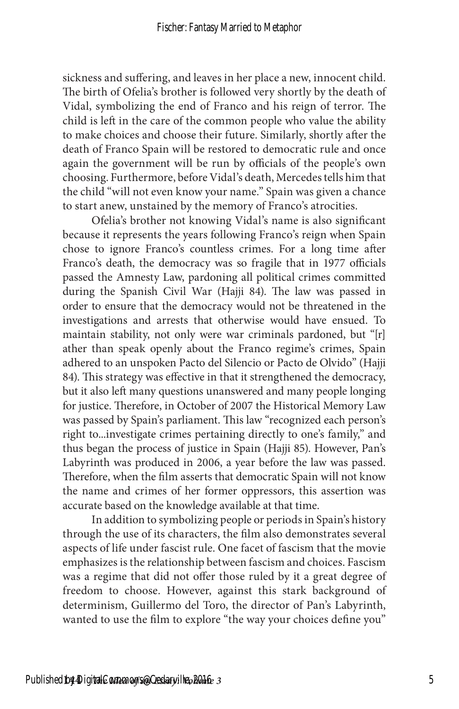sickness and suffering, and leaves in her place a new, innocent child. The birth of Ofelia's brother is followed very shortly by the death of Vidal, symbolizing the end of Franco and his reign of terror. The child is left in the care of the common people who value the ability to make choices and choose their future. Similarly, shortly after the death of Franco Spain will be restored to democratic rule and once again the government will be run by officials of the people's own choosing. Furthermore, before Vidal's death, Mercedes tells him that the child "will not even know your name." Spain was given a chance to start anew, unstained by the memory of Franco's atrocities.

Ofelia's brother not knowing Vidal's name is also significant because it represents the years following Franco's reign when Spain chose to ignore Franco's countless crimes. For a long time after Franco's death, the democracy was so fragile that in 1977 officials passed the Amnesty Law, pardoning all political crimes committed during the Spanish Civil War (Hajji 84). The law was passed in order to ensure that the democracy would not be threatened in the investigations and arrests that otherwise would have ensued. To maintain stability, not only were war criminals pardoned, but "[r] ather than speak openly about the Franco regime's crimes, Spain adhered to an unspoken Pacto del Silencio or Pacto de Olvido" (Hajji 84). This strategy was effective in that it strengthened the democracy, but it also left many questions unanswered and many people longing for justice. Therefore, in October of 2007 the Historical Memory Law was passed by Spain's parliament. This law "recognized each person's right to...investigate crimes pertaining directly to one's family," and thus began the process of justice in Spain (Hajji 85). However, Pan's Labyrinth was produced in 2006, a year before the law was passed. Therefore, when the film asserts that democratic Spain will not know the name and crimes of her former oppressors, this assertion was accurate based on the knowledge available at that time.

In addition to symbolizing people or periods in Spain's history through the use of its characters, the film also demonstrates several aspects of life under fascist rule. One facet of fascism that the movie emphasizes is the relationship between fascism and choices. Fascism was a regime that did not offer those ruled by it a great degree of freedom to choose. However, against this stark background of determinism, Guillermo del Toro, the director of Pan's Labyrinth, wanted to use the film to explore "the way your choices define you"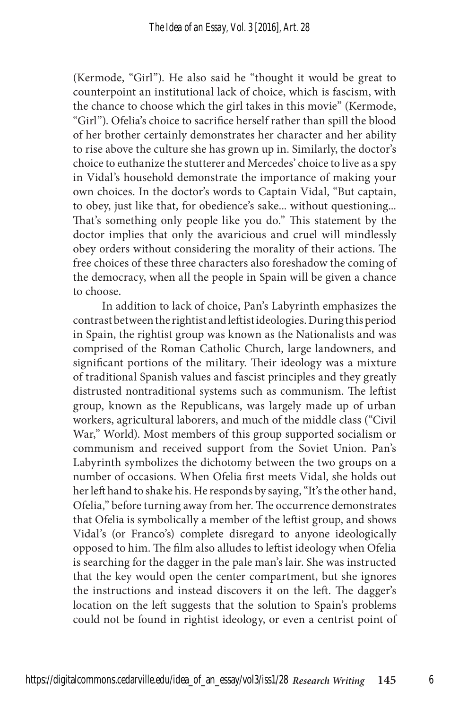(Kermode, "Girl"). He also said he "thought it would be great to counterpoint an institutional lack of choice, which is fascism, with the chance to choose which the girl takes in this movie" (Kermode, "Girl"). Ofelia's choice to sacrifice herself rather than spill the blood of her brother certainly demonstrates her character and her ability to rise above the culture she has grown up in. Similarly, the doctor's choice to euthanize the stutterer and Mercedes' choice to live as a spy in Vidal's household demonstrate the importance of making your own choices. In the doctor's words to Captain Vidal, "But captain, to obey, just like that, for obedience's sake... without questioning... That's something only people like you do." This statement by the doctor implies that only the avaricious and cruel will mindlessly obey orders without considering the morality of their actions. The free choices of these three characters also foreshadow the coming of the democracy, when all the people in Spain will be given a chance to choose.

In addition to lack of choice, Pan's Labyrinth emphasizes the contrast between the rightist and leftist ideologies. During this period in Spain, the rightist group was known as the Nationalists and was comprised of the Roman Catholic Church, large landowners, and significant portions of the military. Their ideology was a mixture of traditional Spanish values and fascist principles and they greatly distrusted nontraditional systems such as communism. The leftist group, known as the Republicans, was largely made up of urban workers, agricultural laborers, and much of the middle class ("Civil War," World). Most members of this group supported socialism or communism and received support from the Soviet Union. Pan's Labyrinth symbolizes the dichotomy between the two groups on a number of occasions. When Ofelia first meets Vidal, she holds out her left hand to shake his. He responds by saying, "It's the other hand, Ofelia," before turning away from her. The occurrence demonstrates that Ofelia is symbolically a member of the leftist group, and shows Vidal's (or Franco's) complete disregard to anyone ideologically opposed to him. The film also alludes to leftist ideology when Ofelia is searching for the dagger in the pale man's lair. She was instructed that the key would open the center compartment, but she ignores the instructions and instead discovers it on the left. The dagger's location on the left suggests that the solution to Spain's problems could not be found in rightist ideology, or even a centrist point of

6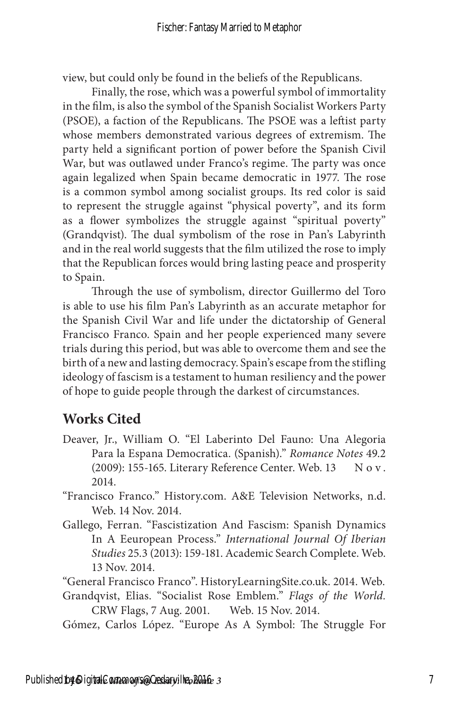view, but could only be found in the beliefs of the Republicans.

Finally, the rose, which was a powerful symbol of immortality in the film, is also the symbol of the Spanish Socialist Workers Party (PSOE), a faction of the Republicans. The PSOE was a leftist party whose members demonstrated various degrees of extremism. The party held a significant portion of power before the Spanish Civil War, but was outlawed under Franco's regime. The party was once again legalized when Spain became democratic in 1977. The rose is a common symbol among socialist groups. Its red color is said to represent the struggle against "physical poverty", and its form as a flower symbolizes the struggle against "spiritual poverty" (Grandqvist). The dual symbolism of the rose in Pan's Labyrinth and in the real world suggests that the film utilized the rose to imply that the Republican forces would bring lasting peace and prosperity to Spain.

Through the use of symbolism, director Guillermo del Toro is able to use his film Pan's Labyrinth as an accurate metaphor for the Spanish Civil War and life under the dictatorship of General Francisco Franco. Spain and her people experienced many severe trials during this period, but was able to overcome them and see the birth of a new and lasting democracy. Spain's escape from the stifling ideology of fascism is a testament to human resiliency and the power of hope to guide people through the darkest of circumstances.

### **Works Cited**

Deaver, Jr., William O. "El Laberinto Del Fauno: Una Alegoria Para la Espana Democratica. (Spanish)." *Romance Notes* 49.2 (2009): 155-165. Literary Reference Center. Web. 13 Nov. 2014.

"Francisco Franco." History.com. A&E Television Networks, n.d. Web. 14 Nov. 2014.

Gallego, Ferran. "Fascistization And Fascism: Spanish Dynamics In A Eeuropean Process." *International Journal Of Iberian Studies* 25.3 (2013): 159-181. Academic Search Complete. Web. 13 Nov. 2014.

"General Francisco Franco". HistoryLearningSite.co.uk. 2014. Web.

Grandqvist, Elias. "Socialist Rose Emblem." *Flags of the World.* CRW Flags, 7 Aug. 2001. Web. 15 Nov. 2014.

Gómez, Carlos López. "Europe As A Symbol: The Struggle For